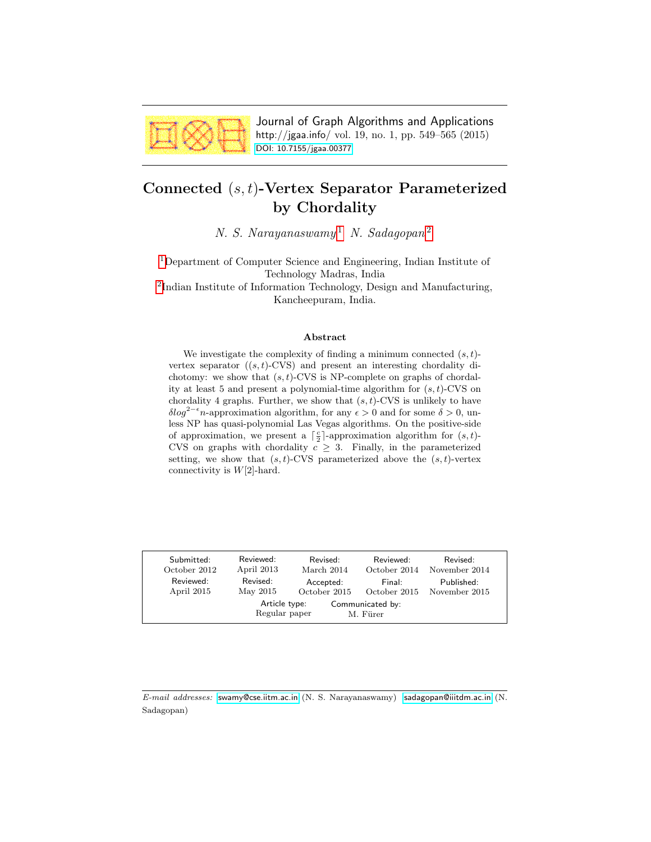

Journal of Graph Algorithms and Applications http://jgaa.info/ vol. 19, no. 1, pp. 549–565 (2015) [DOI: 10.7155/jgaa.00377](http://dx.doi.org/10.7155/jgaa.00377)

# <span id="page-0-0"></span>Connected (s, t)-Vertex Separator Parameterized by Chordality

N. S. Narayanaswamy<sup>[1](#page-0-0)</sup> N. Sadagopan<sup>[2](#page-0-0)</sup>

[1](#page-0-0)Department of Computer Science and Engineering, Indian Institute of Technology Madras, India

<sup>[2](#page-0-0)</sup>Indian Institute of Information Technology, Design and Manufacturing, Kancheepuram, India.

#### Abstract

We investigate the complexity of finding a minimum connected  $(s, t)$ vertex separator  $((s, t)$ -CVS) and present an interesting chordality dichotomy: we show that  $(s, t)$ -CVS is NP-complete on graphs of chordality at least 5 and present a polynomial-time algorithm for  $(s, t)$ -CVS on chordality 4 graphs. Further, we show that  $(s, t)$ -CVS is unlikely to have  $\delta \log^{2-\epsilon} n$ -approximation algorithm, for any  $\epsilon > 0$  and for some  $\delta > 0$ , unless NP has quasi-polynomial Las Vegas algorithms. On the positive-side of approximation, we present a  $\lceil \frac{c}{2} \rceil$ -approximation algorithm for  $(s, t)$ -CVS on graphs with chordality  $c \geq 3$ . Finally, in the parameterized setting, we show that  $(s, t)$ -CVS parameterized above the  $(s, t)$ -vertex connectivity is  $W[2]$ -hard.

| Submitted:   | Reviewed:                      | Revised:     | Reviewed:                    | Revised:      |
|--------------|--------------------------------|--------------|------------------------------|---------------|
| October 2012 | April 2013                     | March 2014   | October 2014                 | November 2014 |
| Reviewed:    | Revised:                       | Accepted:    | Final:                       | Published:    |
| April 2015   | May 2015                       | October 2015 | October 2015                 | November 2015 |
|              | Article type:<br>Regular paper |              | Communicated by:<br>M. Fürer |               |

E-mail addresses: [swamy@cse.iitm.ac.in](mailto:swamy@cse.iitm.ac.in) (N. S. Narayanaswamy) [sadagopan@iiitdm.ac.in](mailto:sadagopan@iiitdm.ac.in) (N. Sadagopan)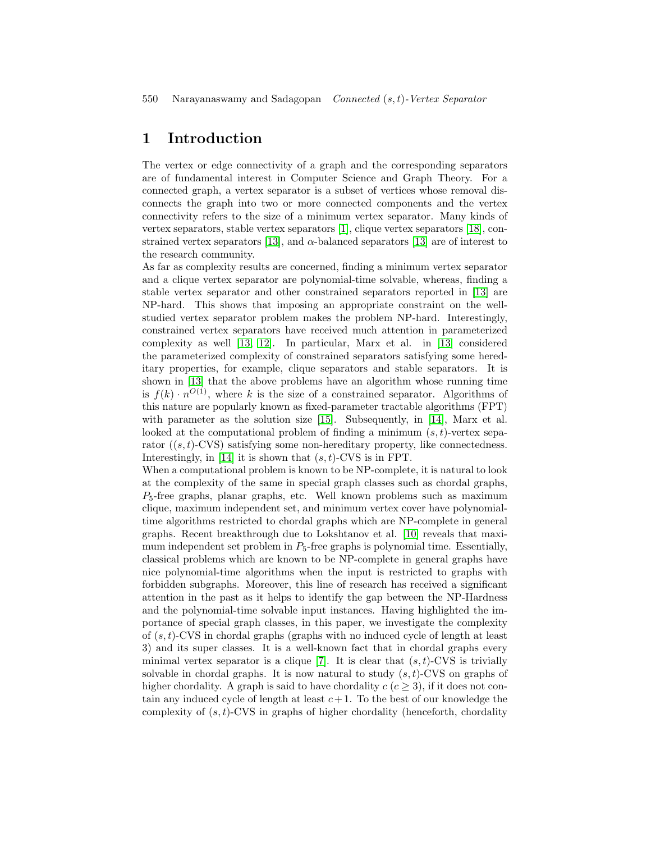# 1 Introduction

The vertex or edge connectivity of a graph and the corresponding separators are of fundamental interest in Computer Science and Graph Theory. For a connected graph, a vertex separator is a subset of vertices whose removal disconnects the graph into two or more connected components and the vertex connectivity refers to the size of a minimum vertex separator. Many kinds of vertex separators, stable vertex separators [\[1\]](#page-15-0), clique vertex separators [\[18\]](#page-16-0), con-strained vertex separators [\[13\]](#page-16-1), and  $\alpha$ -balanced separators [13] are of interest to the research community.

As far as complexity results are concerned, finding a minimum vertex separator and a clique vertex separator are polynomial-time solvable, whereas, finding a stable vertex separator and other constrained separators reported in [\[13\]](#page-16-1) are NP-hard. This shows that imposing an appropriate constraint on the wellstudied vertex separator problem makes the problem NP-hard. Interestingly, constrained vertex separators have received much attention in parameterized complexity as well [\[13,](#page-16-1) [12\]](#page-16-2). In particular, Marx et al. in [\[13\]](#page-16-1) considered the parameterized complexity of constrained separators satisfying some hereditary properties, for example, clique separators and stable separators. It is shown in [\[13\]](#page-16-1) that the above problems have an algorithm whose running time is  $f(k) \cdot n^{O(1)}$ , where k is the size of a constrained separator. Algorithms of this nature are popularly known as fixed-parameter tractable algorithms (FPT) with parameter as the solution size [\[15\]](#page-16-3). Subsequently, in [\[14\]](#page-16-4), Marx et al. looked at the computational problem of finding a minimum  $(s, t)$ -vertex separator  $((s, t)$ -CVS) satisfying some non-hereditary property, like connectedness. Interestingly, in [\[14\]](#page-16-4) it is shown that  $(s, t)$ -CVS is in FPT.

When a computational problem is known to be NP-complete, it is natural to look at the complexity of the same in special graph classes such as chordal graphs,  $P_5$ -free graphs, planar graphs, etc. Well known problems such as maximum clique, maximum independent set, and minimum vertex cover have polynomialtime algorithms restricted to chordal graphs which are NP-complete in general graphs. Recent breakthrough due to Lokshtanov et al. [\[10\]](#page-15-1) reveals that maximum independent set problem in  $P_5$ -free graphs is polynomial time. Essentially, classical problems which are known to be NP-complete in general graphs have nice polynomial-time algorithms when the input is restricted to graphs with forbidden subgraphs. Moreover, this line of research has received a significant attention in the past as it helps to identify the gap between the NP-Hardness and the polynomial-time solvable input instances. Having highlighted the importance of special graph classes, in this paper, we investigate the complexity of  $(s, t)$ -CVS in chordal graphs (graphs with no induced cycle of length at least 3) and its super classes. It is a well-known fact that in chordal graphs every minimal vertex separator is a clique [\[7\]](#page-15-2). It is clear that  $(s, t)$ -CVS is trivially solvable in chordal graphs. It is now natural to study  $(s, t)$ -CVS on graphs of higher chordality. A graph is said to have chordality  $c$  ( $c > 3$ ), if it does not contain any induced cycle of length at least  $c+1$ . To the best of our knowledge the complexity of  $(s, t)$ -CVS in graphs of higher chordality (henceforth, chordality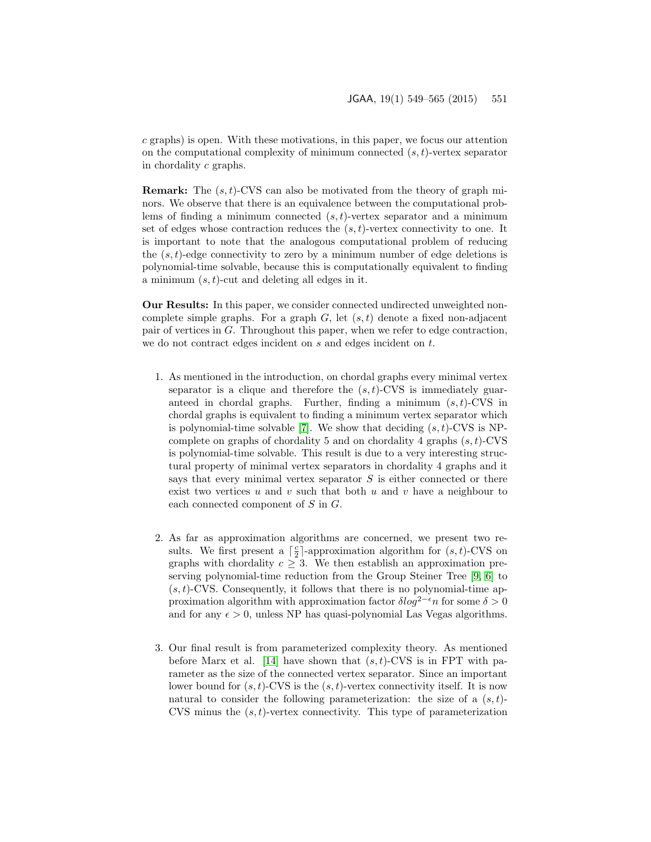c graphs) is open. With these motivations, in this paper, we focus our attention on the computational complexity of minimum connected  $(s, t)$ -vertex separator in chordality c graphs.

**Remark:** The  $(s, t)$ -CVS can also be motivated from the theory of graph minors. We observe that there is an equivalence between the computational problems of finding a minimum connected  $(s, t)$ -vertex separator and a minimum set of edges whose contraction reduces the  $(s, t)$ -vertex connectivity to one. It is important to note that the analogous computational problem of reducing the  $(s, t)$ -edge connectivity to zero by a minimum number of edge deletions is polynomial-time solvable, because this is computationally equivalent to finding a minimum  $(s, t)$ -cut and deleting all edges in it.

Our Results: In this paper, we consider connected undirected unweighted noncomplete simple graphs. For a graph  $G$ , let  $(s, t)$  denote a fixed non-adjacent pair of vertices in G. Throughout this paper, when we refer to edge contraction, we do not contract edges incident on  $s$  and edges incident on  $t$ .

- 1. As mentioned in the introduction, on chordal graphs every minimal vertex separator is a clique and therefore the  $(s, t)$ -CVS is immediately guaranteed in chordal graphs. Further, finding a minimum  $(s, t)$ -CVS in chordal graphs is equivalent to finding a minimum vertex separator which is polynomial-time solvable [\[7\]](#page-15-2). We show that deciding  $(s, t)$ -CVS is NPcomplete on graphs of chordality 5 and on chordality 4 graphs  $(s, t)$ -CVS is polynomial-time solvable. This result is due to a very interesting structural property of minimal vertex separators in chordality 4 graphs and it says that every minimal vertex separator  $S$  is either connected or there exist two vertices  $u$  and  $v$  such that both  $u$  and  $v$  have a neighbour to each connected component of S in G.
- 2. As far as approximation algorithms are concerned, we present two results. We first present a  $\lceil \frac{c}{2} \rceil$ -approximation algorithm for  $(s, t)$ -CVS on graphs with chordality  $c \geq 3$ . We then establish an approximation preserving polynomial-time reduction from the Group Steiner Tree [\[9,](#page-15-3) [6\]](#page-15-4) to  $(s, t)$ -CVS. Consequently, it follows that there is no polynomial-time approximation algorithm with approximation factor  $\delta \log^{2-\epsilon} n$  for some  $\delta > 0$ and for any  $\epsilon > 0$ , unless NP has quasi-polynomial Las Vegas algorithms.
- 3. Our final result is from parameterized complexity theory. As mentioned before Marx et al. [\[14\]](#page-16-4) have shown that  $(s, t)$ -CVS is in FPT with parameter as the size of the connected vertex separator. Since an important lower bound for  $(s, t)$ -CVS is the  $(s, t)$ -vertex connectivity itself. It is now natural to consider the following parameterization: the size of a  $(s, t)$ -CVS minus the  $(s, t)$ -vertex connectivity. This type of parameterization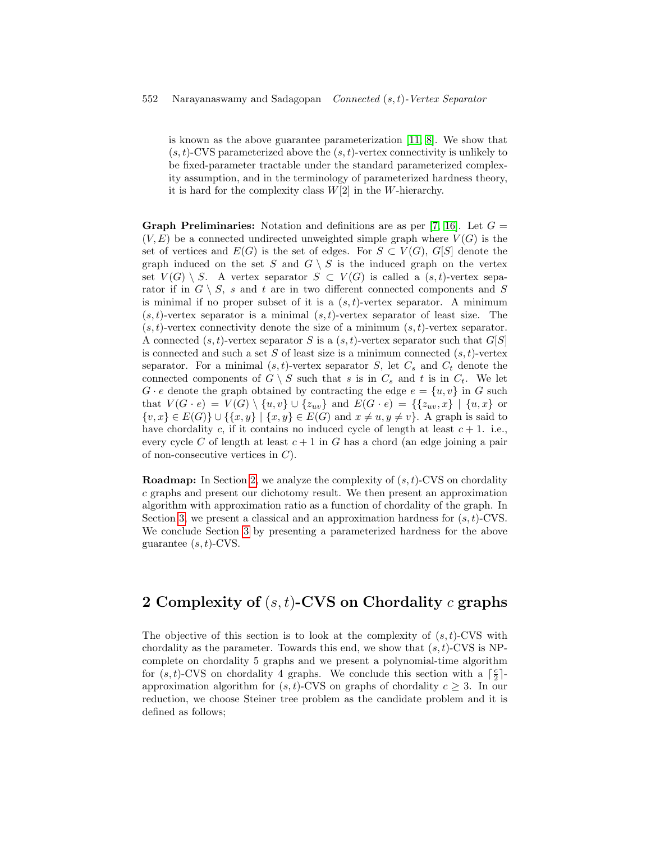is known as the above guarantee parameterization [\[11,](#page-15-5) [8\]](#page-15-6). We show that  $(s, t)$ -CVS parameterized above the  $(s, t)$ -vertex connectivity is unlikely to be fixed-parameter tractable under the standard parameterized complexity assumption, and in the terminology of parameterized hardness theory, it is hard for the complexity class  $W[2]$  in the W-hierarchy.

**Graph Preliminaries:** Notation and definitions are as per [\[7,](#page-15-2) [16\]](#page-16-5). Let  $G =$  $(V, E)$  be a connected undirected unweighted simple graph where  $V(G)$  is the set of vertices and  $E(G)$  is the set of edges. For  $S \subset V(G)$ ,  $G[S]$  denote the graph induced on the set S and  $G \setminus S$  is the induced graph on the vertex set  $V(G) \setminus S$ . A vertex separator  $S \subset V(G)$  is called a  $(s, t)$ -vertex separator if in  $G \setminus S$ , s and t are in two different connected components and S is minimal if no proper subset of it is a  $(s, t)$ -vertex separator. A minimum  $(s, t)$ -vertex separator is a minimal  $(s, t)$ -vertex separator of least size. The  $(s, t)$ -vertex connectivity denote the size of a minimum  $(s, t)$ -vertex separator. A connected  $(s, t)$ -vertex separator S is a  $(s, t)$ -vertex separator such that  $G[S]$ is connected and such a set S of least size is a minimum connected  $(s, t)$ -vertex separator. For a minimal  $(s, t)$ -vertex separator S, let  $C_s$  and  $C_t$  denote the connected components of  $G \setminus S$  such that s is in  $C_s$  and t is in  $C_t$ . We let  $G \cdot e$  denote the graph obtained by contracting the edge  $e = \{u, v\}$  in G such that  $V(G \cdot e) = V(G) \setminus \{u, v\} \cup \{z_{uv}\}\$ and  $E(G \cdot e) = \{\{z_{uv}, x\} \mid \{u, x\}\$  or  $\{v, x\} \in E(G) \cup \{\{x, y\} \mid \{x, y\} \in E(G) \text{ and } x \neq u, y \neq v\}.$  A graph is said to have chordality c, if it contains no induced cycle of length at least  $c + 1$ . i.e., every cycle C of length at least  $c + 1$  in G has a chord (an edge joining a pair of non-consecutive vertices in  $C$ ).

**Roadmap:** In Section [2,](#page-3-0) we analyze the complexity of  $(s, t)$ -CVS on chordality c graphs and present our dichotomy result. We then present an approximation algorithm with approximation ratio as a function of chordality of the graph. In Section [3,](#page-11-0) we present a classical and an approximation hardness for  $(s, t)$ -CVS. We conclude Section [3](#page-11-0) by presenting a parameterized hardness for the above guarantee  $(s, t)$ -CVS.

# <span id="page-3-0"></span>2 Complexity of  $(s, t)$ -CVS on Chordality  $c$  graphs

The objective of this section is to look at the complexity of  $(s, t)$ -CVS with chordality as the parameter. Towards this end, we show that  $(s, t)$ -CVS is NPcomplete on chordality 5 graphs and we present a polynomial-time algorithm for  $(s, t)$ -CVS on chordality 4 graphs. We conclude this section with a  $\lceil \frac{c}{2} \rceil$ approximation algorithm for  $(s, t)$ -CVS on graphs of chordality  $c \geq 3$ . In our reduction, we choose Steiner tree problem as the candidate problem and it is defined as follows;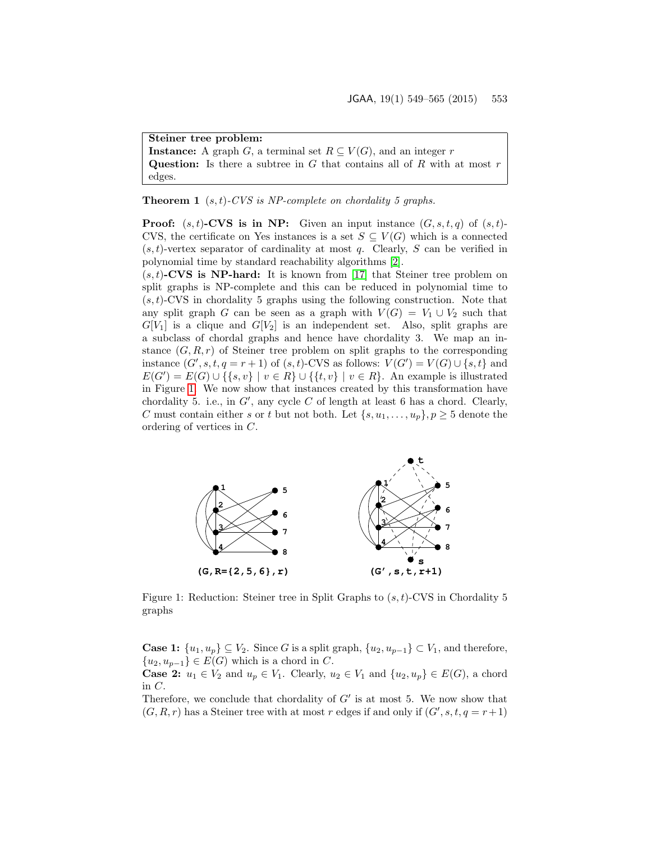Steiner tree problem:

**Instance:** A graph G, a terminal set  $R \subseteq V(G)$ , and an integer r Question: Is there a subtree in  $G$  that contains all of  $R$  with at most  $r$ edges.

**Theorem 1**  $(s, t)$ -CVS is NP-complete on chordality 5 graphs.

**Proof:**  $(s, t)$ -CVS is in NP: Given an input instance  $(G, s, t, q)$  of  $(s, t)$ -CVS, the certificate on Yes instances is a set  $S \subseteq V(G)$  which is a connected  $(s, t)$ -vertex separator of cardinality at most q. Clearly, S can be verified in polynomial time by standard reachability algorithms [\[2\]](#page-15-7).

 $(s, t)$ -CVS is NP-hard: It is known from [\[17\]](#page-16-6) that Steiner tree problem on split graphs is NP-complete and this can be reduced in polynomial time to  $(s, t)$ -CVS in chordality 5 graphs using the following construction. Note that any split graph G can be seen as a graph with  $V(G) = V_1 \cup V_2$  such that  $G[V_1]$  is a clique and  $G[V_2]$  is an independent set. Also, split graphs are a subclass of chordal graphs and hence have chordality 3. We map an instance  $(G, R, r)$  of Steiner tree problem on split graphs to the corresponding instance  $(G', s, t, q = r + 1)$  of  $(s, t)$ -CVS as follows:  $V(G') = V(G) \cup \{s, t\}$  and  $E(G') = E(G) \cup \{\{s, v\} \mid v \in R\} \cup \{\{t, v\} \mid v \in R\}.$  An example is illustrated in Figure [1.](#page-4-0) We now show that instances created by this transformation have chordality 5. i.e., in  $G'$ , any cycle C of length at least 6 has a chord. Clearly, C must contain either s or t but not both. Let  $\{s, u_1, \ldots, u_p\}, p \geq 5$  denote the ordering of vertices in C.

<span id="page-4-0"></span>

Figure 1: Reduction: Steiner tree in Split Graphs to  $(s, t)$ -CVS in Chordality 5 graphs

**Case 1:**  $\{u_1, u_p\} \subseteq V_2$ . Since G is a split graph,  $\{u_2, u_{p-1}\} \subset V_1$ , and therefore,  ${u_2, u_{p-1}} \in E(G)$  which is a chord in C.

**Case 2:**  $u_1 \in V_2$  and  $u_p \in V_1$ . Clearly,  $u_2 \in V_1$  and  $\{u_2, u_p\} \in E(G)$ , a chord in C.

Therefore, we conclude that chordality of  $G'$  is at most 5. We now show that  $(G, R, r)$  has a Steiner tree with at most r edges if and only if  $(G', s, t, q = r + 1)$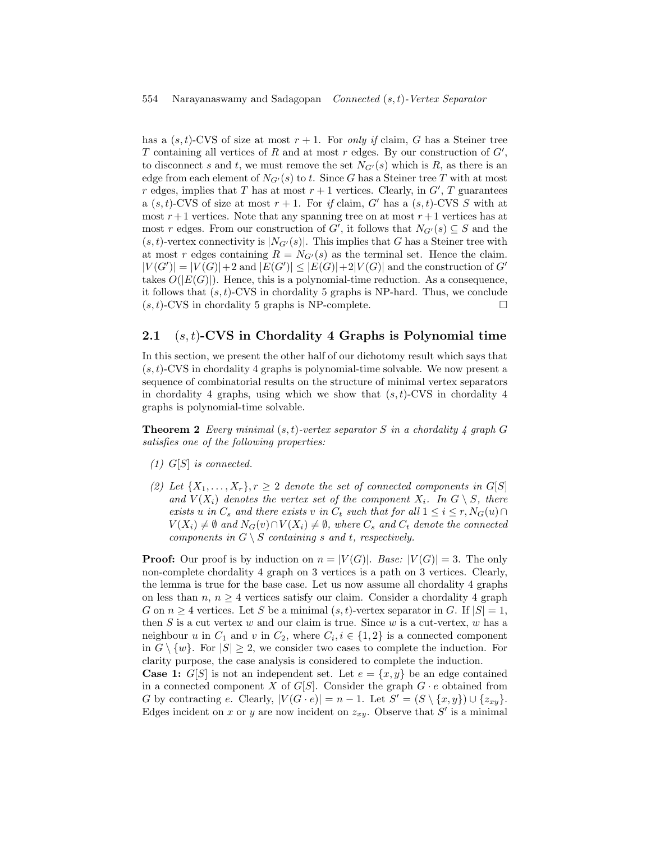#### 554 Narayanaswamy and Sadagopan Connected (s, t)-Vertex Separator

has a  $(s, t)$ -CVS of size at most  $r + 1$ . For only if claim, G has a Steiner tree T containing all vertices of  $R$  and at most  $r$  edges. By our construction of  $G'$ , to disconnect s and t, we must remove the set  $N_{G'}(s)$  which is R, as there is an edge from each element of  $N_{G'}(s)$  to t. Since G has a Steiner tree T with at most r edges, implies that T has at most  $r + 1$  vertices. Clearly, in  $G'$ , T guarantees a  $(s, t)$ -CVS of size at most  $r + 1$ . For if claim, G' has a  $(s, t)$ -CVS S with at most  $r+1$  vertices. Note that any spanning tree on at most  $r+1$  vertices has at most r edges. From our construction of G', it follows that  $N_{G'}(s) \subseteq S$  and the  $(s, t)$ -vertex connectivity is  $|N_{G'}(s)|$ . This implies that G has a Steiner tree with at most r edges containing  $R = N_{G'}(s)$  as the terminal set. Hence the claim.  $|V(G')| = |V(G)| + 2$  and  $|E(G')| \leq |E(G)| + 2|V(G)|$  and the construction of G' takes  $O(|E(G)|)$ . Hence, this is a polynomial-time reduction. As a consequence, it follows that  $(s, t)$ -CVS in chordality 5 graphs is NP-hard. Thus, we conclude  $(s, t)$ -CVS in chordality 5 graphs is NP-complete.

### 2.1  $(s, t)$ -CVS in Chordality 4 Graphs is Polynomial time

In this section, we present the other half of our dichotomy result which says that  $(s, t)$ -CVS in chordality 4 graphs is polynomial-time solvable. We now present a sequence of combinatorial results on the structure of minimal vertex separators in chordality 4 graphs, using which we show that  $(s, t)$ -CVS in chordality 4 graphs is polynomial-time solvable.

<span id="page-5-0"></span>**Theorem 2** Every minimal  $(s, t)$ -vertex separator S in a chordality 4 graph G satisfies one of the following properties:

- $(1)$  G[S] is connected.
- (2) Let  $\{X_1, \ldots, X_r\}, r \geq 2$  denote the set of connected components in  $G[S]$ and  $V(X_i)$  denotes the vertex set of the component  $X_i$ . In  $G \setminus S$ , there exists u in  $C_s$  and there exists v in  $C_t$  such that for all  $1 \leq i \leq r, N_G(u) \cap$  $V(X_i) \neq \emptyset$  and  $N_G(v) \cap V(X_i) \neq \emptyset$ , where  $C_s$  and  $C_t$  denote the connected components in  $G \setminus S$  containing s and t, respectively.

**Proof:** Our proof is by induction on  $n = |V(G)|$ . Base:  $|V(G)| = 3$ . The only non-complete chordality 4 graph on 3 vertices is a path on 3 vertices. Clearly, the lemma is true for the base case. Let us now assume all chordality 4 graphs on less than  $n, n \geq 4$  vertices satisfy our claim. Consider a chordality 4 graph G on  $n \geq 4$  vertices. Let S be a minimal  $(s, t)$ -vertex separator in G. If  $|S| = 1$ , then  $S$  is a cut vertex  $w$  and our claim is true. Since  $w$  is a cut-vertex,  $w$  has a neighbour u in  $C_1$  and v in  $C_2$ , where  $C_i, i \in \{1,2\}$  is a connected component in  $G \setminus \{w\}$ . For  $|S| \geq 2$ , we consider two cases to complete the induction. For clarity purpose, the case analysis is considered to complete the induction. **Case 1:**  $G[S]$  is not an independent set. Let  $e = \{x, y\}$  be an edge contained

in a connected component X of  $G[S]$ . Consider the graph  $G \cdot e$  obtained from G by contracting e. Clearly,  $|V(G \cdot e)| = n - 1$ . Let  $S' = (S \setminus \{x, y\}) \cup \{z_{xy}\}.$ Edges incident on x or y are now incident on  $z_{xy}$ . Observe that S' is a minimal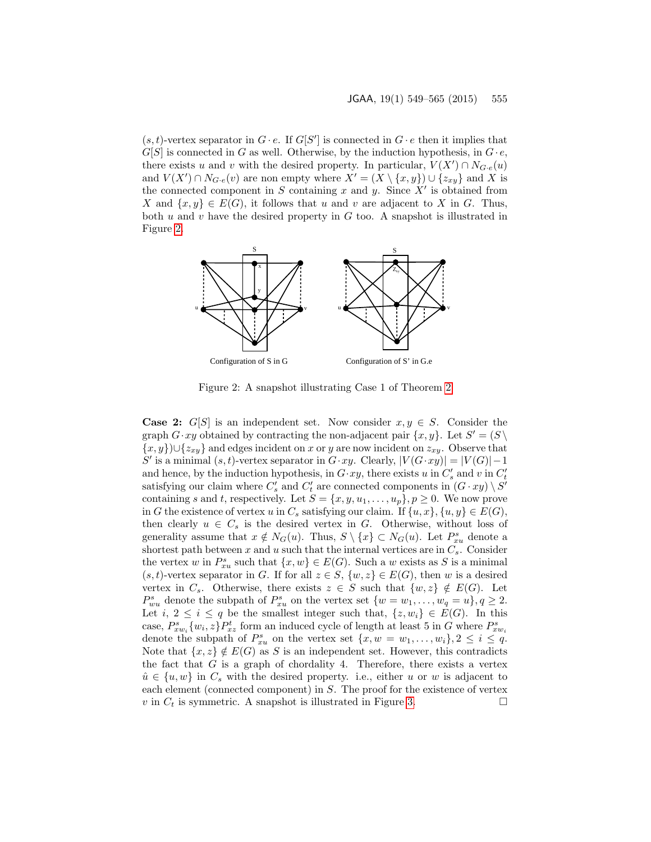$(s, t)$ -vertex separator in  $G \cdot e$ . If  $G[S']$  is connected in  $G \cdot e$  then it implies that  $G[S]$  is connected in G as well. Otherwise, by the induction hypothesis, in  $G \cdot e$ , there exists u and v with the desired property. In particular,  $V(X') \cap N_{G \cdot e}(u)$ and  $V(X') \cap N_{G \cdot e}(v)$  are non empty where  $X' = (X \setminus \{x, y\}) \cup \{z_{xy}\}\$  and X is the connected component in S containing x and y. Since  $X'$  is obtained from X and  $\{x, y\} \in E(G)$ , it follows that u and v are adjacent to X in G. Thus, both  $u$  and  $v$  have the desired property in  $G$  too. A snapshot is illustrated in Figure [2.](#page-6-0)



<span id="page-6-0"></span>Figure 2: A snapshot illustrating Case 1 of Theorem [2](#page-5-0)

<span id="page-6-1"></span>**Case 2:** G[S] is an independent set. Now consider  $x, y \in S$ . Consider the graph  $G \cdot xy$  obtained by contracting the non-adjacent pair  $\{x, y\}$ . Let  $S' = (S \setminus$  ${x, y}$  ∪ ${z_{xy}}$  and edges incident on x or y are now incident on  $z_{xy}$ . Observe that S' is a minimal  $(s, t)$ -vertex separator in  $G \cdot xy$ . Clearly,  $|V(G \cdot xy)| = |V(G)| - 1$ and hence, by the induction hypothesis, in  $G \cdot xy$ , there exists u in  $C'_{s}$  and v in  $C'_{t}$ satisfying our claim where  $C_s'$  and  $C_t'$  are connected components in  $(G \cdot xy) \setminus S'$ containing s and t, respectively. Let  $S = \{x, y, u_1, \ldots, u_p\}, p \ge 0$ . We now prove in G the existence of vertex u in  $C_s$  satisfying our claim. If  $\{u, x\}, \{u, y\} \in E(G)$ , then clearly  $u \in C_s$  is the desired vertex in G. Otherwise, without loss of generality assume that  $x \notin N_G(u)$ . Thus,  $S \setminus \{x\} \subset N_G(u)$ . Let  $P_{x}^s$  denote a shortest path between x and u such that the internal vertices are in  $C_s$ . Consider the vertex w in  $P_{xu}^s$  such that  $\{x, w\} \in E(G)$ . Such a w exists as S is a minimal  $(s, t)$ -vertex separator in G. If for all  $z \in S$ ,  $\{w, z\} \in E(G)$ , then w is a desired vertex in  $C_s$ . Otherwise, there exists  $z \in S$  such that  $\{w, z\} \notin E(G)$ . Let  $P_{wu}^s$  denote the subpath of  $P_{xu}^s$  on the vertex set  $\{w = w_1, \ldots, w_q = u\}, q \ge 2$ . Let i,  $2 \leq i \leq q$  be the smallest integer such that,  $\{z, w_i\} \in E(G)$ . In this case,  $P_{xw_i}^s \{w_i, z\} P_{xz}^t$  form an induced cycle of length at least 5 in G where  $P_{xw_i}^s$ denote the subpath of  $P_{xu}^s$  on the vertex set  $\{x, w = w_1, \ldots, w_i\}, 2 \leq i \leq q$ . Note that  $\{x, z\} \notin E(G)$  as S is an independent set. However, this contradicts the fact that  $G$  is a graph of chordality 4. Therefore, there exists a vertex  $\hat{u} \in \{u, w\}$  in  $C_s$  with the desired property. i.e., either u or w is adjacent to each element (connected component) in S. The proof for the existence of vertex v in  $C_t$  is symmetric. A snapshot is illustrated in Figure [3.](#page-7-0)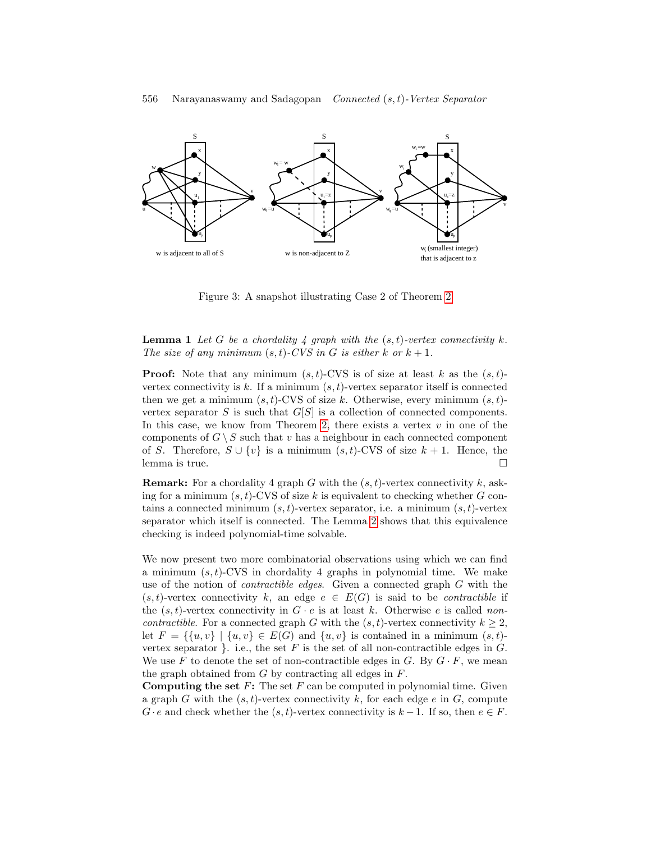

<span id="page-7-0"></span>Figure 3: A snapshot illustrating Case 2 of Theorem [2](#page-5-0)

#### **Lemma 1** Let G be a chordality 4 graph with the  $(s, t)$ -vertex connectivity k. The size of any minimum  $(s,t)$ -CVS in G is either k or  $k+1$ .

**Proof:** Note that any minimum  $(s, t)$ -CVS is of size at least k as the  $(s, t)$ vertex connectivity is  $k$ . If a minimum  $(s, t)$ -vertex separator itself is connected then we get a minimum  $(s, t)$ -CVS of size k. Otherwise, every minimum  $(s, t)$ vertex separator S is such that  $G[S]$  is a collection of connected components. In this case, we know from Theorem [2,](#page-5-0) there exists a vertex  $v$  in one of the components of  $G \setminus S$  such that v has a neighbour in each connected component of S. Therefore,  $S \cup \{v\}$  is a minimum  $(s, t)$ -CVS of size  $k + 1$ . Hence, the lemma is true.

**Remark:** For a chordality 4 graph G with the  $(s, t)$ -vertex connectivity k, asking for a minimum  $(s, t)$ -CVS of size k is equivalent to checking whether G contains a connected minimum  $(s, t)$ -vertex separator, i.e. a minimum  $(s, t)$ -vertex separator which itself is connected. The Lemma [2](#page-8-0) shows that this equivalence checking is indeed polynomial-time solvable.

We now present two more combinatorial observations using which we can find a minimum  $(s, t)$ -CVS in chordality 4 graphs in polynomial time. We make use of the notion of contractible edges. Given a connected graph G with the  $(s, t)$ -vertex connectivity k, an edge  $e \in E(G)$  is said to be *contractible* if the  $(s, t)$ -vertex connectivity in  $G \cdot e$  is at least k. Otherwise e is called noncontractible. For a connected graph G with the  $(s, t)$ -vertex connectivity  $k \geq 2$ , let  $F = \{ \{u, v\} \mid \{u, v\} \in E(G) \text{ and } \{u, v\} \text{ is contained in a minimum } (s, t)$ vertex separator }. i.e., the set  $F$  is the set of all non-contractible edges in  $G$ . We use F to denote the set of non-contractible edges in G. By  $G \cdot F$ , we mean the graph obtained from  $G$  by contracting all edges in  $F$ .

**Computing the set F:** The set  $F$  can be computed in polynomial time. Given a graph G with the  $(s, t)$ -vertex connectivity k, for each edge e in G, compute  $G \cdot e$  and check whether the  $(s, t)$ -vertex connectivity is  $k - 1$ . If so, then  $e \in F$ .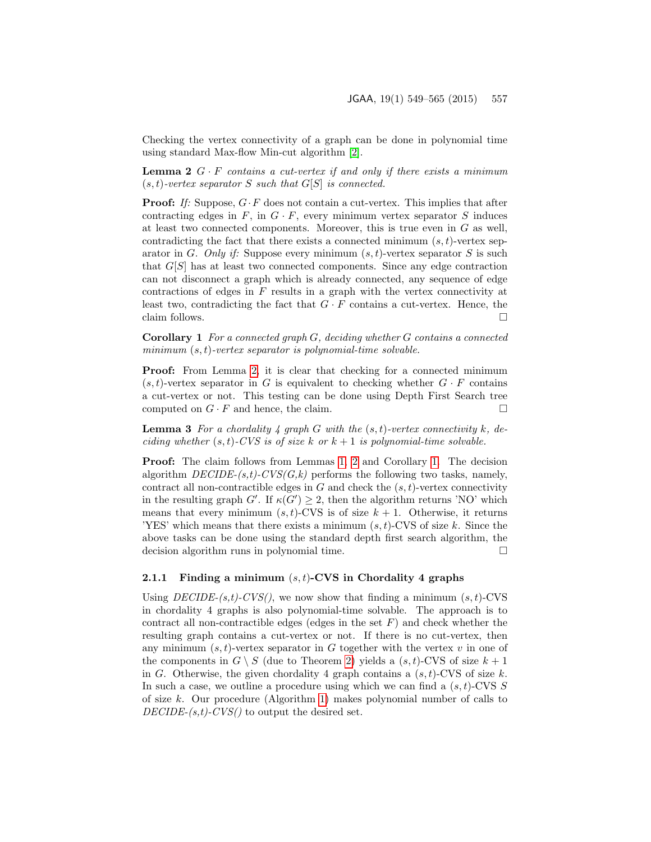<span id="page-8-0"></span>Checking the vertex connectivity of a graph can be done in polynomial time using standard Max-flow Min-cut algorithm [\[2\]](#page-15-7).

**Lemma 2**  $G \cdot F$  contains a cut-vertex if and only if there exists a minimum  $(s, t)$ -vertex separator S such that  $G[S]$  is connected.

**Proof:** If: Suppose,  $G \cdot F$  does not contain a cut-vertex. This implies that after contracting edges in  $F$ , in  $G \cdot F$ , every minimum vertex separator S induces at least two connected components. Moreover, this is true even in  $G$  as well, contradicting the fact that there exists a connected minimum  $(s, t)$ -vertex separator in G. Only if: Suppose every minimum  $(s, t)$ -vertex separator S is such that  $G[S]$  has at least two connected components. Since any edge contraction can not disconnect a graph which is already connected, any sequence of edge contractions of edges in F results in a graph with the vertex connectivity at least two, contradicting the fact that  $G \cdot F$  contains a cut-vertex. Hence, the claim follows.  $\Box$ 

<span id="page-8-1"></span>**Corollary 1** For a connected graph  $G$ , deciding whether  $G$  contains a connected minimum  $(s, t)$ -vertex separator is polynomial-time solvable.

**Proof:** From Lemma [2,](#page-8-0) it is clear that checking for a connected minimum  $(s, t)$ -vertex separator in G is equivalent to checking whether  $G \cdot F$  contains a cut-vertex or not. This testing can be done using Depth First Search tree computed on  $G \cdot F$  and hence, the claim.

**Lemma 3** For a chordality 4 graph G with the  $(s, t)$ -vertex connectivity k, deciding whether  $(s, t)$ -CVS is of size k or  $k + 1$  is polynomial-time solvable.

Proof: The claim follows from Lemmas [1,](#page-6-1) [2](#page-8-0) and Corollary [1.](#page-8-1) The decision algorithm  $DECIDE-(s,t)$ - $CVS(G,k)$  performs the following two tasks, namely, contract all non-contractible edges in  $G$  and check the  $(s, t)$ -vertex connectivity in the resulting graph  $G'$ . If  $\kappa(G') \geq 2$ , then the algorithm returns 'NO' which means that every minimum  $(s, t)$ -CVS is of size  $k + 1$ . Otherwise, it returns 'YES' which means that there exists a minimum  $(s, t)$ -CVS of size k. Since the above tasks can be done using the standard depth first search algorithm, the decision algorithm runs in polynomial time.

#### 2.1.1 Finding a minimum  $(s, t)$ -CVS in Chordality 4 graphs

<span id="page-8-2"></span>Using  $DECIDE-(s,t)-CVS($ , we now show that finding a minimum  $(s, t)$ -CVS in chordality 4 graphs is also polynomial-time solvable. The approach is to contract all non-contractible edges (edges in the set  $F$ ) and check whether the resulting graph contains a cut-vertex or not. If there is no cut-vertex, then any minimum  $(s, t)$ -vertex separator in G together with the vertex v in one of the components in  $G \setminus S$  (due to Theorem [2\)](#page-5-0) yields a  $(s, t)$ -CVS of size  $k + 1$ in G. Otherwise, the given chordality 4 graph contains a  $(s, t)$ -CVS of size k. In such a case, we outline a procedure using which we can find a  $(s, t)$ -CVS S of size k. Our procedure (Algorithm [1\)](#page-9-0) makes polynomial number of calls to  $DECIDE-(s,t)-CVS()$  to output the desired set.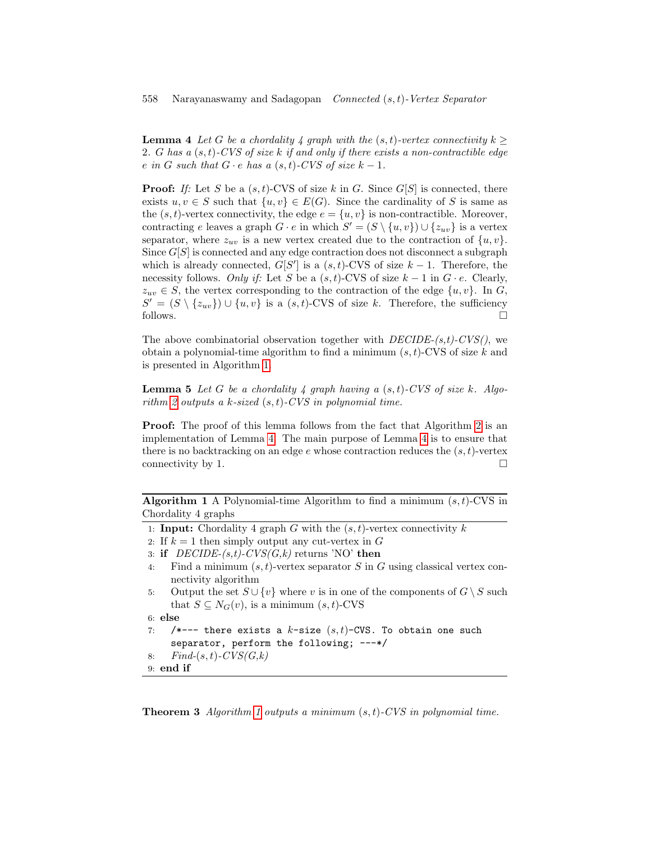**Lemma 4** Let G be a chordality 4 graph with the  $(s, t)$ -vertex connectivity  $k \geq$ 2. G has a  $(s, t)$ -CVS of size k if and only if there exists a non-contractible edge e in G such that  $G \cdot e$  has a  $(s, t)$ -CVS of size  $k - 1$ .

**Proof:** If: Let S be a  $(s, t)$ -CVS of size k in G. Since  $G[S]$  is connected, there exists  $u, v \in S$  such that  $\{u, v\} \in E(G)$ . Since the cardinality of S is same as the  $(s, t)$ -vertex connectivity, the edge  $e = \{u, v\}$  is non-contractible. Moreover, contracting e leaves a graph  $G \cdot e$  in which  $S' = (S \setminus \{u, v\}) \cup \{z_{uv}\}\)$  is a vertex separator, where  $z_{uv}$  is a new vertex created due to the contraction of  $\{u, v\}$ . Since  $G[S]$  is connected and any edge contraction does not disconnect a subgraph which is already connected,  $G[S']$  is a  $(s, t)$ -CVS of size  $k - 1$ . Therefore, the necessity follows. Only if: Let S be a  $(s, t)$ -CVS of size  $k - 1$  in  $G \cdot e$ . Clearly,  $z_{uv} \in S$ , the vertex corresponding to the contraction of the edge  $\{u, v\}$ . In G,  $S' = (S \setminus \{z_{uv}\}) \cup \{u, v\}$  is a  $(s, t)$ -CVS of size k. Therefore, the sufficiency follows.  $\square$ 

The above combinatorial observation together with  $DECIDE-(s,t)-CVS($ , we obtain a polynomial-time algorithm to find a minimum  $(s, t)$ -CVS of size k and is presented in Algorithm [1.](#page-9-0)

**Lemma 5** Let G be a chordality 4 graph having a  $(s, t)$ -CVS of size k. Algo-rithm [2](#page-10-0) outputs a k-sized  $(s, t)$ -CVS in polynomial time.

**Proof:** The proof of this lemma follows from the fact that Algorithm [2](#page-10-0) is an implementation of Lemma [4.](#page-8-2) The main purpose of Lemma [4](#page-8-2) is to ensure that there is no backtracking on an edge  $e$  whose contraction reduces the  $(s, t)$ -vertex connectivity by 1.  $\Box$ 

**Algorithm 1** A Polynomial-time Algorithm to find a minimum  $(s, t)$ -CVS in Chordality 4 graphs

- <span id="page-9-0"></span>1: **Input:** Chordality 4 graph G with the  $(s, t)$ -vertex connectivity k
- 2: If  $k = 1$  then simply output any cut-vertex in G
- 3: if  $DECIDE-(s,t)-CVS(G,k)$  returns 'NO' then
- 4: Find a minimum  $(s, t)$ -vertex separator S in G using classical vertex connectivity algorithm
- 5: Output the set  $S \cup \{v\}$  where v is in one of the components of  $G \setminus S$  such that  $S \subseteq N_G(v)$ , is a minimum  $(s, t)$ -CVS

```
6: else
```

```
7: /*--- there exists a k-size (s, t)-CVS. To obtain one such
    separator, perform the following; ---*/
8: Find-(s,t)-CVS(G,k)
```
9: end if

**Theorem 3** Algorithm [1](#page-9-0) outputs a minimum  $(s, t)$ -CVS in polynomial time.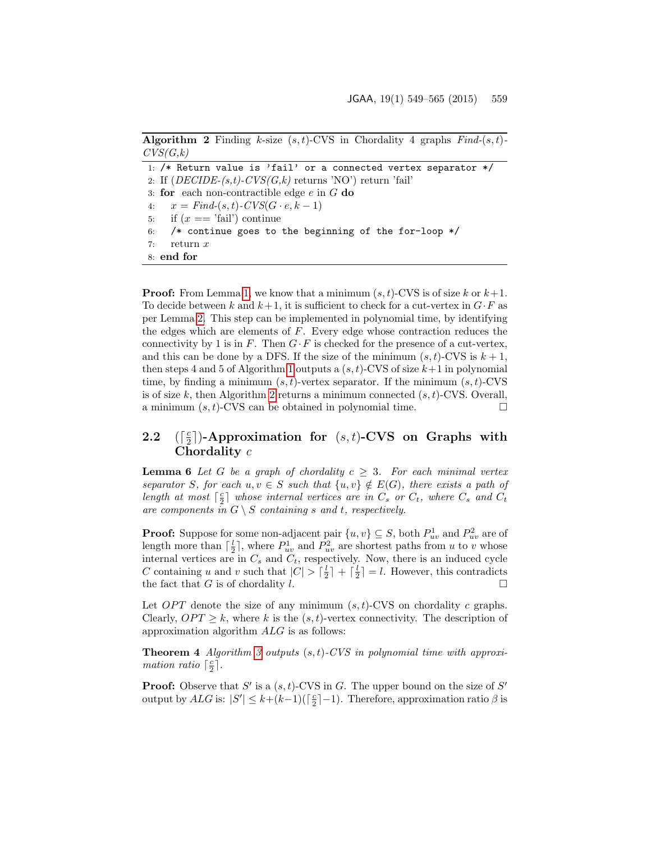| <b>Algorithm 2</b> Finding k-size $(s,t)$ -CVS in Chordality 4 graphs $Find-(s,t)$ - |  |  |  |  |  |
|--------------------------------------------------------------------------------------|--|--|--|--|--|
| CVS(G,k)                                                                             |  |  |  |  |  |

<span id="page-10-0"></span>1: /\* Return value is 'fail' or a connected vertex separator \*/ 2: If  $(DECIDE-(s,t)-CVS(G,k))$  returns 'NO') return 'fail' 3: for each non-contractible edge  $e$  in  $G$  do 4:  $x = Find-(s, t)$ - $CVS(G \cdot e, k-1)$ 5: if  $(x == 'fail')$  continue 6: /\* continue goes to the beginning of the for-loop \*/ 7: return x 8: end for

**Proof:** From Lemma [1,](#page-6-1) we know that a minimum  $(s, t)$ -CVS is of size k or  $k+1$ . To decide between k and  $k+1$ , it is sufficient to check for a cut-vertex in  $G \cdot F$  as per Lemma [2.](#page-8-0) This step can be implemented in polynomial time, by identifying the edges which are elements of  $F$ . Every edge whose contraction reduces the connectivity by 1 is in  $F$ . Then  $G \cdot F$  is checked for the presence of a cut-vertex, and this can be done by a DFS. If the size of the minimum  $(s, t)$ -CVS is  $k + 1$ , then steps 4 and 5 of Algorithm [1](#page-9-0) outputs a  $(s, t)$ -CVS of size  $k+1$  in polynomial time, by finding a minimum  $(s, t)$ -vertex separator. If the minimum  $(s, t)$ -CVS is of size k, then Algorithm [2](#page-10-0) returns a minimum connected  $(s, t)$ -CVS. Overall, a minimum  $(s, t)$ -CVS can be obtained in polynomial time.

#### $2.2$ c  $\frac{c}{2}$ ])-Approximation for  $(s,t)$ -CVS on Graphs with Chordality c

<span id="page-10-1"></span>**Lemma 6** Let G be a graph of chordality  $c \geq 3$ . For each minimal vertex separator S, for each  $u, v \in S$  such that  $\{u, v\} \notin E(G)$ , there exists a path of length at most  $\lceil \frac{c}{2} \rceil$  whose internal vertices are in  $C_s$  or  $C_t$ , where  $C_s$  and  $C_t$ are components in  $G \setminus S$  containing s and t, respectively.

**Proof:** Suppose for some non-adjacent pair  $\{u, v\} \subseteq S$ , both  $P_{uv}^1$  and  $P_{uv}^2$  are of length more than  $\lceil \frac{l}{2} \rceil$ , where  $P_{uv}^1$  and  $P_{uv}^2$  are shortest paths from u to v whose internal vertices are in  $C_s$  and  $C_t$ , respectively. Now, there is an induced cycle C containing u and v such that  $|C| > \lceil \frac{l}{2} \rceil + \lceil \frac{l}{2} \rceil = l$ . However, this contradicts the fact that G is of chordality l.  $\Box$ 

Let  $OPT$  denote the size of any minimum  $(s, t)$ -CVS on chordality c graphs. Clearly,  $OPT \geq k$ , where k is the  $(s, t)$ -vertex connectivity. The description of approximation algorithm ALG is as follows:

**Theorem 4** Algorithm [3](#page-11-1) outputs  $(s, t)$ -CVS in polynomial time with approximation ratio  $\lceil \frac{c}{2} \rceil$ .

**Proof:** Observe that  $S'$  is a  $(s, t)$ -CVS in G. The upper bound on the size of  $S'$ output by  $ALG$  is:  $|S'| \leq k + (k-1)(\lceil \frac{c}{2} \rceil - 1)$ . Therefore, approximation ratio  $\beta$  is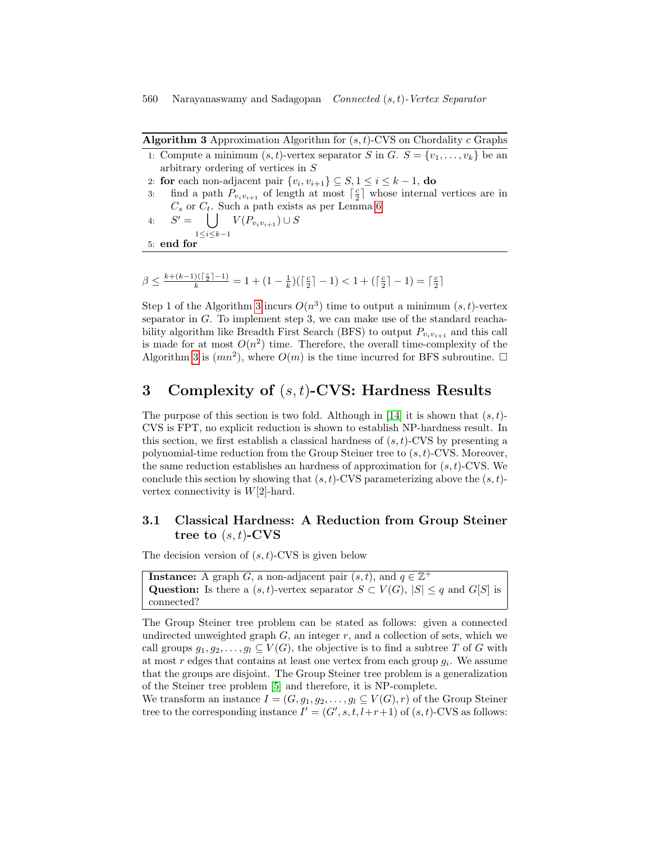<span id="page-11-1"></span>

| <b>Algorithm 3</b> Approximation Algorithm for $(s, t)$ -CVS on Chordality c Graphs                              |
|------------------------------------------------------------------------------------------------------------------|
| 1: Compute a minimum $(s, t)$ -vertex separator S in G. $S = \{v_1, \ldots, v_k\}$ be an                         |
| arbitrary ordering of vertices in $S$                                                                            |
| 2: for each non-adjacent pair $\{v_i, v_{i+1}\} \subseteq S, 1 \leq i \leq k-1$ , do                             |
| find a path $P_{v_i v_{i+1}}$ of length at most $\lceil \frac{c}{2} \rceil$ whose internal vertices are in<br>3: |
| $C_s$ or $C_t$ . Such a path exists as per Lemma 6                                                               |
| 4: $S' = \bigcup V(P_{v_i v_{i+1}}) \cup S$                                                                      |
| $1 \le i \le k-1$                                                                                                |
| $5:$ end for                                                                                                     |

$$
\beta \le \frac{k + (k-1)(\lceil \frac{c}{2} \rceil - 1)}{k} = 1 + (1 - \frac{1}{k})(\lceil \frac{c}{2} \rceil - 1) < 1 + (\lceil \frac{c}{2} \rceil - 1) = \lceil \frac{c}{2} \rceil
$$

Step 1 of the Algorithm [3](#page-11-1) incurs  $O(n^3)$  time to output a minimum  $(s, t)$ -vertex separator in  $G$ . To implement step 3, we can make use of the standard reachability algorithm like Breadth First Search (BFS) to output  $P_{v_i v_{i+1}}$  and this call is made for at most  $O(n^2)$  time. Therefore, the overall time-complexity of the Algorithm [3](#page-11-1) is  $(mn^2)$ , where  $O(m)$  is the time incurred for BFS subroutine.  $\Box$ 

# <span id="page-11-0"></span>3 Complexity of  $(s, t)$ -CVS: Hardness Results

The purpose of this section is two fold. Although in [\[14\]](#page-16-4) it is shown that  $(s, t)$ -CVS is FPT, no explicit reduction is shown to establish NP-hardness result. In this section, we first establish a classical hardness of  $(s, t)$ -CVS by presenting a polynomial-time reduction from the Group Steiner tree to  $(s, t)$ -CVS. Moreover, the same reduction establishes an hardness of approximation for  $(s, t)$ -CVS. We conclude this section by showing that  $(s, t)$ -CVS parameterizing above the  $(s, t)$ vertex connectivity is  $W[2]$ -hard.

## 3.1 Classical Hardness: A Reduction from Group Steiner tree to  $(s, t)$ -CVS

The decision version of  $(s, t)$ -CVS is given below

**Instance:** A graph G, a non-adjacent pair  $(s, t)$ , and  $q \in \mathbb{Z}^+$ Question: Is there a  $(s, t)$ -vertex separator  $S \subset V(G)$ ,  $|S| \leq q$  and  $G[S]$  is connected?

The Group Steiner tree problem can be stated as follows: given a connected undirected unweighted graph  $G$ , an integer  $r$ , and a collection of sets, which we call groups  $g_1, g_2, \ldots, g_l \subseteq V(G)$ , the objective is to find a subtree T of G with at most r edges that contains at least one vertex from each group  $g_i$ . We assume that the groups are disjoint. The Group Steiner tree problem is a generalization of the Steiner tree problem [\[5\]](#page-15-8) and therefore, it is NP-complete.

We transform an instance  $I = (G, g_1, g_2, \ldots, g_l \subseteq V(G), r)$  of the Group Steiner tree to the corresponding instance  $I' = (G', s, t, l+r+1)$  of  $(s, t)$ -CVS as follows: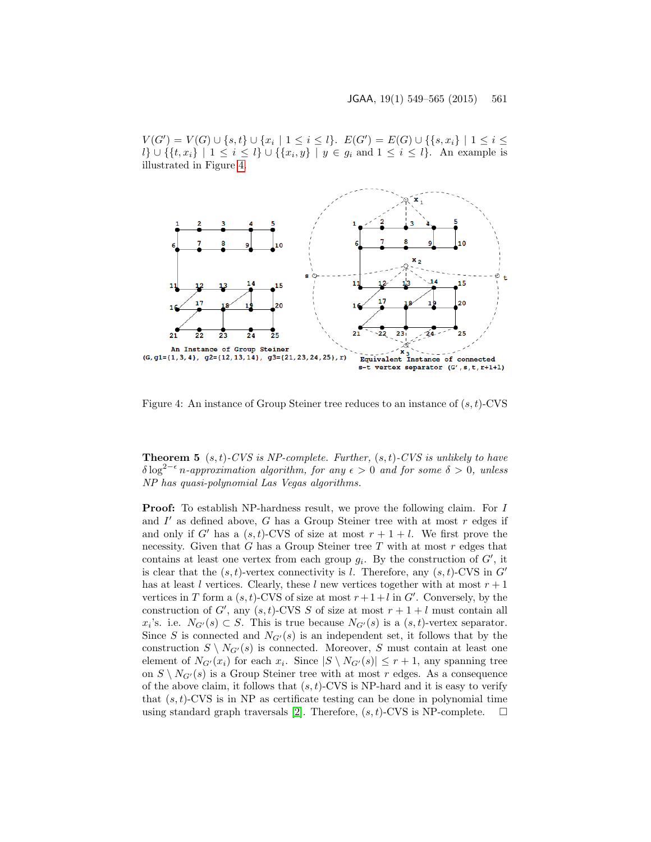$V(G') = V(G) \cup \{s, t\} \cup \{x_i \mid 1 \leq i \leq l\}$ .  $E(G') = E(G) \cup \{\{s, x_i\} \mid 1 \leq i \leq l\}$  $l\} \cup \{ \{t, x_i\} \mid 1 \leq i \leq l \} \cup \{ \{x_i, y\} \mid y \in g_i \text{ and } 1 \leq i \leq l \}.$  An example is illustrated in Figure [4.](#page-12-0)



<span id="page-12-0"></span>Figure 4: An instance of Group Steiner tree reduces to an instance of  $(s, t)$ -CVS

**Theorem 5**  $(s, t)$ -CVS is NP-complete. Further,  $(s, t)$ -CVS is unlikely to have  $\delta \log^{2-\epsilon} n$ -approximation algorithm, for any  $\epsilon > 0$  and for some  $\delta > 0$ , unless NP has quasi-polynomial Las Vegas algorithms.

Proof: To establish NP-hardness result, we prove the following claim. For I and  $I'$  as defined above, G has a Group Steiner tree with at most  $r$  edges if and only if G' has a  $(s, t)$ -CVS of size at most  $r + 1 + l$ . We first prove the necessity. Given that G has a Group Steiner tree T with at most  $r$  edges that contains at least one vertex from each group  $g_i$ . By the construction of  $G'$ , it is clear that the  $(s, t)$ -vertex connectivity is l. Therefore, any  $(s, t)$ -CVS in G' has at least l vertices. Clearly, these l new vertices together with at most  $r + 1$ vertices in T form a  $(s, t)$ -CVS of size at most  $r + 1 + l$  in  $G'$ . Conversely, by the construction of G', any  $(s, t)$ -CVS S of size at most  $r + 1 + l$  must contain all  $x_i$ 's. i.e.  $N_{G'}(s) \subset S$ . This is true because  $N_{G'}(s)$  is a  $(s,t)$ -vertex separator. Since S is connected and  $N_{G'}(s)$  is an independent set, it follows that by the construction  $S \setminus N_{G'}(s)$  is connected. Moreover, S must contain at least one element of  $N_{G'}(x_i)$  for each  $x_i$ . Since  $|S \setminus N_{G'}(s)| \leq r+1$ , any spanning tree on  $S \setminus N_{G'}(s)$  is a Group Steiner tree with at most r edges. As a consequence of the above claim, it follows that  $(s, t)$ -CVS is NP-hard and it is easy to verify that  $(s, t)$ -CVS is in NP as certificate testing can be done in polynomial time using standard graph traversals [\[2\]](#page-15-7). Therefore,  $(s, t)$ -CVS is NP-complete.  $\square$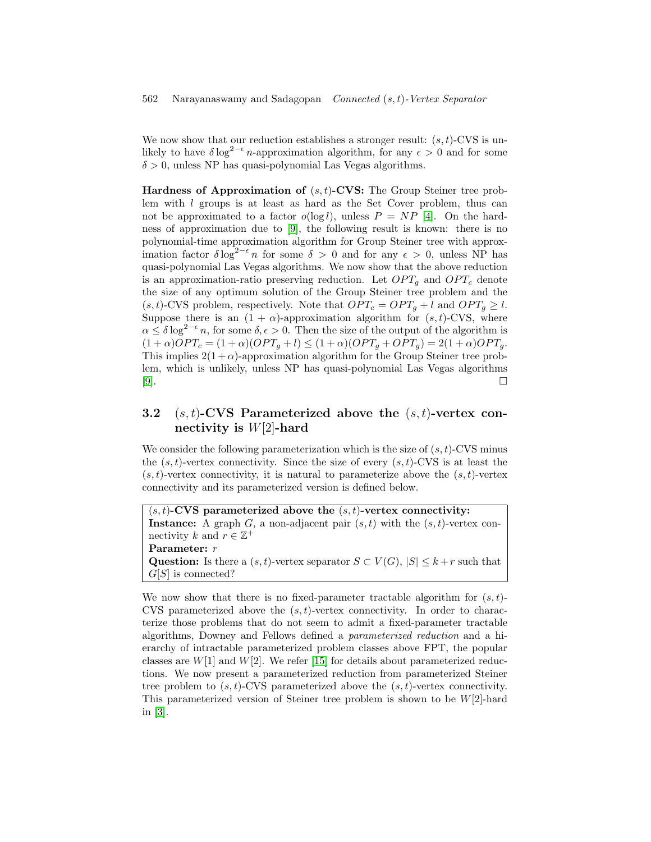We now show that our reduction establishes a stronger result:  $(s, t)$ -CVS is unlikely to have  $\delta \log^{2-\epsilon} n$ -approximation algorithm, for any  $\epsilon > 0$  and for some  $\delta > 0$ , unless NP has quasi-polynomial Las Vegas algorithms.

**Hardness of Approximation of**  $(s, t)$ -CVS: The Group Steiner tree problem with l groups is at least as hard as the Set Cover problem, thus can not be approximated to a factor  $o(\log l)$ , unless  $P = NP$  [\[4\]](#page-15-9). On the hardness of approximation due to [\[9\]](#page-15-3), the following result is known: there is no polynomial-time approximation algorithm for Group Steiner tree with approximation factor  $\delta \log^{2-\epsilon} n$  for some  $\delta > 0$  and for any  $\epsilon > 0$ , unless NP has quasi-polynomial Las Vegas algorithms. We now show that the above reduction is an approximation-ratio preserving reduction. Let  $OPT<sub>q</sub>$  and  $OPT<sub>c</sub>$  denote the size of any optimum solution of the Group Steiner tree problem and the  $(s, t)$ -CVS problem, respectively. Note that  $OPT_c = OPT_q + l$  and  $OPT_q \geq l$ . Suppose there is an  $(1 + \alpha)$ -approximation algorithm for  $(s, t)$ -CVS, where  $\alpha \leq \delta \log^{2-\epsilon} n$ , for some  $\delta, \epsilon > 0$ . Then the size of the output of the algorithm is  $(1+\alpha)OPT_c = (1+\alpha)(OPT_g + l) \leq (1+\alpha)(OPT_g + OPT_g) = 2(1+\alpha)OPT_g.$ This implies  $2(1+\alpha)$ -approximation algorithm for the Group Steiner tree problem, which is unlikely, unless NP has quasi-polynomial Las Vegas algorithms [\[9\]](#page-15-3).

## 3.2  $(s, t)$ -CVS Parameterized above the  $(s, t)$ -vertex connectivity is  $W[2]$ -hard

We consider the following parameterization which is the size of  $(s, t)$ -CVS minus the  $(s, t)$ -vertex connectivity. Since the size of every  $(s, t)$ -CVS is at least the  $(s, t)$ -vertex connectivity, it is natural to parameterize above the  $(s, t)$ -vertex connectivity and its parameterized version is defined below.

 $(s, t)$ -CVS parameterized above the  $(s, t)$ -vertex connectivity: Instance: A graph G, a non-adjacent pair  $(s, t)$  with the  $(s, t)$ -vertex connectivity k and  $r \in \mathbb{Z}^+$ Parameter: r Question: Is there a  $(s, t)$ -vertex separator  $S \subset V(G)$ ,  $|S| \leq k+r$  such that  $G[S]$  is connected?

We now show that there is no fixed-parameter tractable algorithm for  $(s, t)$ -CVS parameterized above the  $(s, t)$ -vertex connectivity. In order to characterize those problems that do not seem to admit a fixed-parameter tractable algorithms, Downey and Fellows defined a parameterized reduction and a hierarchy of intractable parameterized problem classes above FPT, the popular classes are  $W[1]$  and  $W[2]$ . We refer [\[15\]](#page-16-3) for details about parameterized reductions. We now present a parameterized reduction from parameterized Steiner tree problem to  $(s, t)$ -CVS parameterized above the  $(s, t)$ -vertex connectivity. This parameterized version of Steiner tree problem is shown to be  $W[2]$ -hard in [\[3\]](#page-15-10).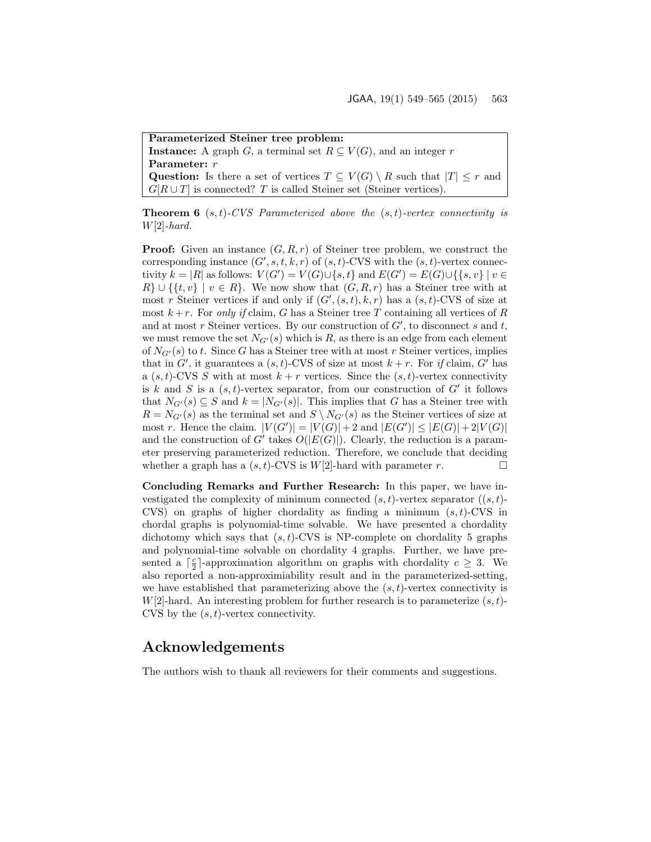Parameterized Steiner tree problem:

**Instance:** A graph G, a terminal set  $R \subseteq V(G)$ , and an integer r Parameter:  $r$ 

Question: Is there a set of vertices  $T \subseteq V(G) \setminus R$  such that  $|T| \leq r$  and  $G[R \cup T]$  is connected? T is called Steiner set (Steiner vertices).

**Theorem 6**  $(s,t)$ -CVS Parameterized above the  $(s,t)$ -vertex connectivity is  $W[2]$ -hard.

**Proof:** Given an instance  $(G, R, r)$  of Steiner tree problem, we construct the corresponding instance  $(G', s, t, k, r)$  of  $(s, t)$ -CVS with the  $(s, t)$ -vertex connectivity  $k = |R|$  as follows:  $V(G') = V(G) \cup \{s, t\}$  and  $E(G') = E(G) \cup \{\{s, v\} | v \in$  $R\} \cup \{ \{t, v\} \mid v \in R \}.$  We now show that  $(G, R, r)$  has a Steiner tree with at most r Steiner vertices if and only if  $(G', (s, t), k, r)$  has a  $(s, t)$ -CVS of size at most  $k+r$ . For only if claim, G has a Steiner tree T containing all vertices of R and at most r Steiner vertices. By our construction of  $G'$ , to disconnect s and t, we must remove the set  $N_{G'}(s)$  which is R, as there is an edge from each element of  $N_{G'}(s)$  to t. Since G has a Steiner tree with at most r Steiner vertices, implies that in  $G'$ , it guarantees a  $(s, t)$ -CVS of size at most  $k + r$ . For if claim,  $G'$  has a  $(s, t)$ -CVS S with at most  $k + r$  vertices. Since the  $(s, t)$ -vertex connectivity is k and S is a  $(s, t)$ -vertex separator, from our construction of  $G'$  it follows that  $N_{G'}(s) \subseteq S$  and  $k = |N_{G'}(s)|$ . This implies that G has a Steiner tree with  $R = N_{G'}(s)$  as the terminal set and  $S \setminus N_{G'}(s)$  as the Steiner vertices of size at most r. Hence the claim.  $|V(G')| = |V(G)| + 2$  and  $|E(G')| \leq |E(G)| + 2|V(G)|$ and the construction of  $G'$  takes  $O(|E(G)|)$ . Clearly, the reduction is a parameter preserving parameterized reduction. Therefore, we conclude that deciding whether a graph has a  $(s, t)$ -CVS is  $W[2]$ -hard with parameter r.

Concluding Remarks and Further Research: In this paper, we have investigated the complexity of minimum connected  $(s, t)$ -vertex separator  $((s, t)$ -CVS) on graphs of higher chordality as finding a minimum  $(s, t)$ -CVS in chordal graphs is polynomial-time solvable. We have presented a chordality dichotomy which says that  $(s, t)$ -CVS is NP-complete on chordality 5 graphs and polynomial-time solvable on chordality 4 graphs. Further, we have presented a  $\lceil \frac{c}{2} \rceil$ -approximation algorithm on graphs with chordality  $c \geq 3$ . We also reported a non-approximiability result and in the parameterized-setting, we have established that parameterizing above the  $(s, t)$ -vertex connectivity is  $W[2]$ -hard. An interesting problem for further research is to parameterize  $(s, t)$ -CVS by the  $(s, t)$ -vertex connectivity.

# Acknowledgements

The authors wish to thank all reviewers for their comments and suggestions.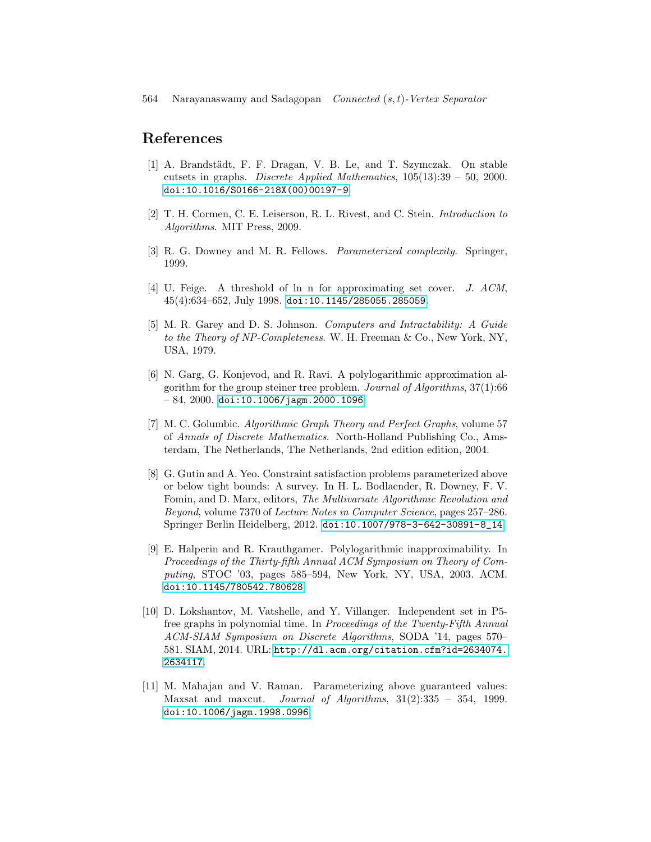# References

- <span id="page-15-0"></span>[1] A. Brandstädt, F. F. Dragan, V. B. Le, and T. Szymczak. On stable cutsets in graphs. Discrete Applied Mathematics,  $105(13):39 - 50$ , 2000. [doi:10.1016/S0166-218X\(00\)00197-9](http://dx.doi.org/10.1016/S0166-218X(00)00197-9).
- <span id="page-15-7"></span>[2] T. H. Cormen, C. E. Leiserson, R. L. Rivest, and C. Stein. Introduction to Algorithms. MIT Press, 2009.
- <span id="page-15-10"></span>[3] R. G. Downey and M. R. Fellows. Parameterized complexity. Springer, 1999.
- <span id="page-15-9"></span>[4] U. Feige. A threshold of ln n for approximating set cover. J. ACM, 45(4):634–652, July 1998. [doi:10.1145/285055.285059](http://dx.doi.org/10.1145/285055.285059).
- <span id="page-15-8"></span>[5] M. R. Garey and D. S. Johnson. Computers and Intractability: A Guide to the Theory of NP-Completeness. W. H. Freeman & Co., New York, NY, USA, 1979.
- <span id="page-15-4"></span>[6] N. Garg, G. Konjevod, and R. Ravi. A polylogarithmic approximation algorithm for the group steiner tree problem. Journal of Algorithms,  $37(1)$ :66  $-84, 2000.$  [doi:10.1006/jagm.2000.1096](http://dx.doi.org/10.1006/jagm.2000.1096).
- <span id="page-15-2"></span>[7] M. C. Golumbic. Algorithmic Graph Theory and Perfect Graphs, volume 57 of Annals of Discrete Mathematics. North-Holland Publishing Co., Amsterdam, The Netherlands, The Netherlands, 2nd edition edition, 2004.
- <span id="page-15-6"></span>[8] G. Gutin and A. Yeo. Constraint satisfaction problems parameterized above or below tight bounds: A survey. In H. L. Bodlaender, R. Downey, F. V. Fomin, and D. Marx, editors, The Multivariate Algorithmic Revolution and Beyond, volume 7370 of Lecture Notes in Computer Science, pages 257–286. Springer Berlin Heidelberg, 2012. [doi:10.1007/978-3-642-30891-8\\_14](http://dx.doi.org/10.1007/978-3-642-30891-8_14).
- <span id="page-15-3"></span>[9] E. Halperin and R. Krauthgamer. Polylogarithmic inapproximability. In Proceedings of the Thirty-fifth Annual ACM Symposium on Theory of Computing, STOC '03, pages 585–594, New York, NY, USA, 2003. ACM. [doi:10.1145/780542.780628](http://dx.doi.org/10.1145/780542.780628).
- <span id="page-15-1"></span>[10] D. Lokshantov, M. Vatshelle, and Y. Villanger. Independent set in P5 free graphs in polynomial time. In Proceedings of the Twenty-Fifth Annual ACM-SIAM Symposium on Discrete Algorithms, SODA '14, pages 570– 581. SIAM, 2014. URL: [http://dl.acm.org/citation.cfm?id=2634074.](http://dl.acm.org/citation.cfm?id=2634074.2634117) [2634117](http://dl.acm.org/citation.cfm?id=2634074.2634117).
- <span id="page-15-5"></span>[11] M. Mahajan and V. Raman. Parameterizing above guaranteed values: Maxsat and maxcut. Journal of Algorithms, 31(2):335 – 354, 1999. [doi:10.1006/jagm.1998.0996](http://dx.doi.org/10.1006/jagm.1998.0996).